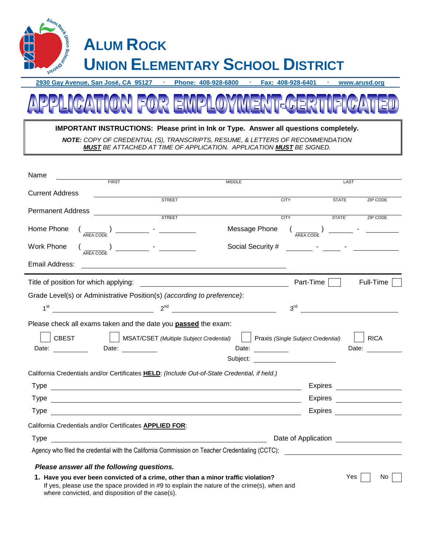

**2930 Gay Avenue, San José, CA 95127 · Phone: 408-928-6800 · Fax: 408-928-6401 · www.arusd.org**



| <b>IMPORTANT INSTRUCTIONS: Please print in lnk or Type. Answer all questions completely.</b> |  |
|----------------------------------------------------------------------------------------------|--|
| <b>NOTE:</b> COPY OF CREDENTIAL (S), TRANSCRIPTS, RESUME, & LETTERS OF RECOMMENDATION        |  |
| <b>MUST BE ATTACHED AT TIME OF APPLICATION. APPLICATION MUST BE SIGNED.</b>                  |  |

| Name                                                                                                                                                                                                                                                                                                              |                  |                                   |                                                                                                                                                                                                                                        |
|-------------------------------------------------------------------------------------------------------------------------------------------------------------------------------------------------------------------------------------------------------------------------------------------------------------------|------------------|-----------------------------------|----------------------------------------------------------------------------------------------------------------------------------------------------------------------------------------------------------------------------------------|
| FIRST                                                                                                                                                                                                                                                                                                             | <b>MIDDLE</b>    |                                   | LAST                                                                                                                                                                                                                                   |
| <b>Current Address</b>                                                                                                                                                                                                                                                                                            | STREET           | CITY                              |                                                                                                                                                                                                                                        |
|                                                                                                                                                                                                                                                                                                                   |                  |                                   | <b>STATE</b><br><b>ZIP CODE</b>                                                                                                                                                                                                        |
| <b>Permanent Address</b>                                                                                                                                                                                                                                                                                          | STREET<br>STREET | <b>CITY</b>                       | STATE`<br><b>ZIP CODE</b>                                                                                                                                                                                                              |
| Home Phone                                                                                                                                                                                                                                                                                                        |                  | Message Phone                     | <u> 1990 - Jan Jan Jawa Barat, prima popular popular popular popular popular popular popular popular popular pop</u>                                                                                                                   |
| Work Phone                                                                                                                                                                                                                                                                                                        |                  | Social Security #                 | <u> 1999 - Jan Stein Berlin, amerikansk politiker (</u>                                                                                                                                                                                |
| Email Address:                                                                                                                                                                                                                                                                                                    |                  |                                   |                                                                                                                                                                                                                                        |
|                                                                                                                                                                                                                                                                                                                   |                  | Part-Time                         | Full-Time                                                                                                                                                                                                                              |
| Grade Level(s) or Administrative Position(s) (according to preference):                                                                                                                                                                                                                                           |                  |                                   |                                                                                                                                                                                                                                        |
| $2^{nd}$ $2^{nd}$ $2^{nd}$ $2^{nd}$ $2^{nd}$ $2^{nd}$ $2^{nd}$ $2^{nd}$ $2^{nd}$ $2^{nd}$ $2^{nd}$ $2^{nd}$ $2^{nd}$ $2^{nd}$ $2^{nd}$ $2^{nd}$ $2^{nd}$ $2^{nd}$ $2^{nd}$ $2^{nd}$ $2^{nd}$ $2^{nd}$ $2^{nd}$ $2^{nd}$ $2^{nd}$ $2^{nd}$ $2^{nd}$ $2^{nd}$ $2^{nd}$ $2^{nd}$ $2^{nd}$ $2^{nd$<br>1 <sup>st</sup> |                  |                                   |                                                                                                                                                                                                                                        |
| Please check all exams taken and the date you <b>passed</b> the exam:                                                                                                                                                                                                                                             |                  |                                   |                                                                                                                                                                                                                                        |
| CBEST     MSAT/CSET (Multiple Subject Credential)     Praxis (Single Subject Credential)                                                                                                                                                                                                                          |                  |                                   | RICA                                                                                                                                                                                                                                   |
| Date: ____________ Date: ________                                                                                                                                                                                                                                                                                 |                  |                                   | Date: and the state of the state of the state of the state of the state of the state of the state of the state of the state of the state of the state of the state of the state of the state of the state of the state of the          |
|                                                                                                                                                                                                                                                                                                                   |                  | Subject: ________________________ |                                                                                                                                                                                                                                        |
| California Credentials and/or Certificates HELD: (Include Out-of-State Credential, if held.)                                                                                                                                                                                                                      |                  |                                   |                                                                                                                                                                                                                                        |
|                                                                                                                                                                                                                                                                                                                   |                  |                                   | Expires                                                                                                                                                                                                                                |
|                                                                                                                                                                                                                                                                                                                   |                  |                                   | Expires _________________                                                                                                                                                                                                              |
|                                                                                                                                                                                                                                                                                                                   |                  |                                   |                                                                                                                                                                                                                                        |
| California Credentials and/or Certificates APPLIED FOR:                                                                                                                                                                                                                                                           |                  |                                   |                                                                                                                                                                                                                                        |
| <u> 1989 - Johann Barn, fransk politik (d. 1989)</u><br>Type                                                                                                                                                                                                                                                      |                  |                                   | Date of Application<br><u> and a second of the set of the set of the set of the set of the set of the set of the set of the set of the set of the set of the set of the set of the set of the set of the set of the set of the set</u> |
|                                                                                                                                                                                                                                                                                                                   |                  |                                   |                                                                                                                                                                                                                                        |
| Please answer all the following questions.                                                                                                                                                                                                                                                                        |                  |                                   |                                                                                                                                                                                                                                        |
| 1. Have you ever been convicted of a crime, other than a minor traffic violation?                                                                                                                                                                                                                                 |                  |                                   | Yes<br>No.                                                                                                                                                                                                                             |
| If yes, please use the space provided in #9 to explain the nature of the crime(s), when and<br>where convicted, and disposition of the case(s).                                                                                                                                                                   |                  |                                   |                                                                                                                                                                                                                                        |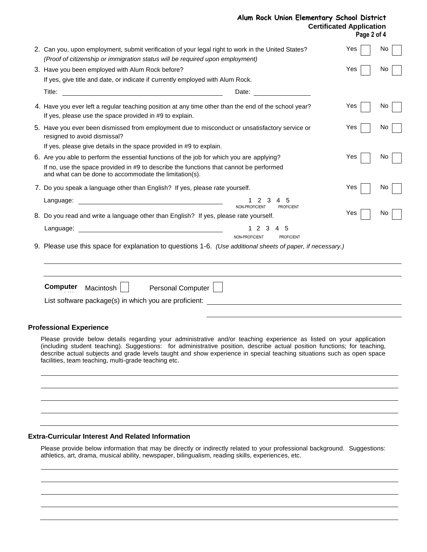|  | Alum Rock Union Elementary School District |                                 |
|--|--------------------------------------------|---------------------------------|
|  |                                            | <b>Certificated Application</b> |

**Page 2 of 4**

|                                                                                                                                                                                     |                                                       | Page 2 or 4 |    |
|-------------------------------------------------------------------------------------------------------------------------------------------------------------------------------------|-------------------------------------------------------|-------------|----|
| 2. Can you, upon employment, submit verification of your legal right to work in the United States?<br>(Proof of citizenship or immigration status will be required upon employment) |                                                       | Yes         | No |
| 3. Have you been employed with Alum Rock before?                                                                                                                                    |                                                       | Yes         | Νo |
| If yes, give title and date, or indicate if currently employed with Alum Rock.                                                                                                      |                                                       |             |    |
| Title:<br><u> 1989 - Johann Barbara, martin amerikan basal dan berasal dan berasal dalam basal dan berasal dalam berasal da</u>                                                     | Date: <u>__________</u>                               |             |    |
| 4. Have you ever left a regular teaching position at any time other than the end of the school year?<br>If yes, please use the space provided in #9 to explain.                     |                                                       | Yes         | No |
| 5. Have you ever been dismissed from employment due to misconduct or unsatisfactory service or<br>resigned to avoid dismissal?                                                      |                                                       | Yes         | No |
| If yes, please give details in the space provided in #9 to explain.                                                                                                                 |                                                       |             |    |
| 6. Are you able to perform the essential functions of the job for which you are applying?                                                                                           |                                                       | Yes         | No |
| If no, use the space provided in #9 to describe the functions that cannot be performed<br>and what can be done to accommodate the limitation(s).                                    |                                                       |             |    |
| 7. Do you speak a language other than English? If yes, please rate yourself.                                                                                                        |                                                       | Yes         | No |
|                                                                                                                                                                                     | 3<br>-5<br>NON-PROFICIENT<br><b>PROFICIENT</b>        |             |    |
| 8. Do you read and write a language other than English? If yes, please rate yourself.                                                                                               |                                                       | Yes         | Νo |
|                                                                                                                                                                                     | 3<br>12<br>4 5<br>NON-PROFICIENT<br><b>PROFICIENT</b> |             |    |
| 9. Please use this space for explanation to questions 1-6. (Use additional sheets of paper, if necessary.)                                                                          |                                                       |             |    |
|                                                                                                                                                                                     |                                                       |             |    |
| <b>Computer</b><br>Personal Computer  <br>Macintosh                                                                                                                                 |                                                       |             |    |
| List software package(s) in which you are proficient:                                                                                                                               |                                                       |             |    |
| <b>Professional Experience</b>                                                                                                                                                      |                                                       |             |    |
| Please provide below details regarding your administrative and/or teaching experience as listed on your application                                                                 |                                                       |             |    |

## **Extra-Curricular Interest And Related Information**

facilities, team teaching, multi-grade teaching etc.

Please provide below information that may be directly or indirectly related to your professional background. Suggestions: athletics, art, drama, musical ability, newspaper, bilingualism, reading skills, experiences, etc.

(including student teaching). Suggestions: for administrative position, describe actual position functions; for teaching, describe actual subjects and grade levels taught and show experience in special teaching situations such as open space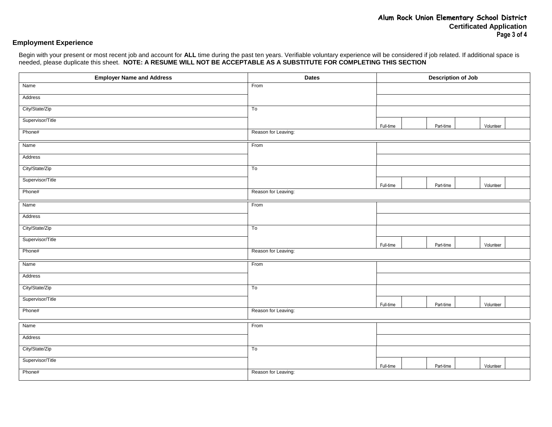## **Employment Experience**

Begin with your present or most recent job and account for **ALL** time during the past ten years. Verifiable voluntary experience will be considered if job related. If additional space is needed, please duplicate this sheet. **NOTE: A RESUME WILL NOT BE ACCEPTABLE AS A SUBSTITUTE FOR COMPLETING THIS SECTION**

| <b>Employer Name and Address</b> | <b>Dates</b>        | <b>Description of Job</b> |           |  |           |  |
|----------------------------------|---------------------|---------------------------|-----------|--|-----------|--|
| Name                             | From                |                           |           |  |           |  |
| Address                          |                     |                           |           |  |           |  |
| City/State/Zip                   | To                  |                           |           |  |           |  |
| Supervisor/Title                 |                     | Full-time                 | Part-time |  | Volunteer |  |
| Phone#                           | Reason for Leaving: |                           |           |  |           |  |
| Name                             | From                |                           |           |  |           |  |
| Address                          |                     |                           |           |  |           |  |
| City/State/Zip                   | To                  |                           |           |  |           |  |
| Supervisor/Title                 |                     | Full-time                 | Part-time |  | Volunteer |  |
| Phone#                           | Reason for Leaving: |                           |           |  |           |  |
| Name                             | From                |                           |           |  |           |  |
| Address                          |                     |                           |           |  |           |  |
| City/State/Zip                   | To                  |                           |           |  |           |  |
| Supervisor/Title                 |                     | Full-time                 | Part-time |  | Volunteer |  |
| Phone#                           | Reason for Leaving: |                           |           |  |           |  |
| Name                             | From                |                           |           |  |           |  |
| Address                          |                     |                           |           |  |           |  |
| City/State/Zip                   | To                  |                           |           |  |           |  |
| Supervisor/Title                 |                     | Full-time                 | Part-time |  | Volunteer |  |
| Phone#                           | Reason for Leaving: |                           |           |  |           |  |
| Name                             | From                |                           |           |  |           |  |
| Address                          |                     |                           |           |  |           |  |
| City/State/Zip                   | To                  |                           |           |  |           |  |
| Supervisor/Title                 |                     | Full-time                 | Part-time |  | Volunteer |  |
| Phone#                           | Reason for Leaving: |                           |           |  |           |  |